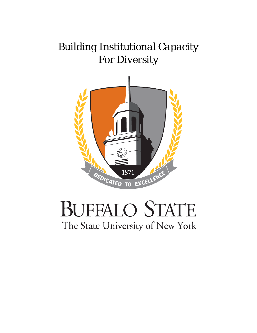# *Building Institutional Capacity For Diversity*



# **BUFFALO STATE** The State University of New York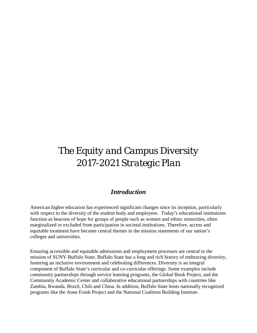# *The Equity and Campus Diversity 2017-2021 Strategic Plan*

#### *Introduction*

American higher education has experienced significant changes since its inception, particularly with respect to the diversity of the student body and employees. Today's educational institutions function as beacons of hope for groups of people such as women and ethnic minorities, often marginalized or excluded from participation in societal institutions. Therefore, access and equitable treatment have become central themes in the mission statements of our nation's colleges and universities.

Ensuring accessible and equitable admissions and employment processes are central to the mission of SUNY-Buffalo State. Buffalo State has a long and rich history of embracing diversity, fostering an inclusive environment and celebrating differences. Diversity is an integral component of Buffalo State's curricular and co-curricular offerings. Some examples include community partnerships through service learning programs, the Global Book Project, and the Community Academic Center and collaborative educational partnerships with countries like Zambia, Rwanda, Brazil, Chili and China. In addition, Buffalo State hosts nationally recognized programs like the Anne Frank Project and the National Coalition Building Institute.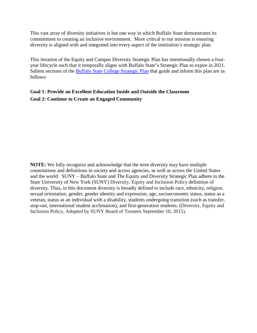This vast array of diversity initiatives is but one way in which Buffalo State demonstrates its commitment to creating an inclusive environment. More critical to our mission is ensuring diversity is aligned with and integrated into every aspect of the institution's strategic plan.

This iteration of the Equity and Campus Diversity Strategic Plan has intentionally chosen a fouryear lifecycle such that it temporally aligns with Buffalo State's Strategic Plan to expire in 2021. Salient sections of the [Buffalo State College Strategic Plan](http://suny.buffalostate.edu/strategicplan) that guide and inform this plan are as follows:

#### **Goal 1: Provide an Excellent Education Inside and Outside the Classroom Goal 2: Continue to Create an Engaged Community**

**NOTE:** We fully recognize and acknowledge that the term diversity may have multiple connotations and definitions in society and across agencies, as well as across the United States and the world. SUNY – Buffalo State and The Equity and Diversity Strategic Plan adhere to the State University of New York (SUNY) Diversity, Equity and Inclusion Policy definition of diversity. Thus, in this document diversity is broadly defined to include race, ethnicity, religion, sexual orientation, gender, gender identity and expression, age, socioeconomic status, status as a veteran, status as an individual with a disability, students undergoing transition (such as transfer, stop-out, international student acclimation), and first-generation students. (Diversity, Equity and Inclusion Policy, Adopted by SUNY Board of Trustees September 10, 2015).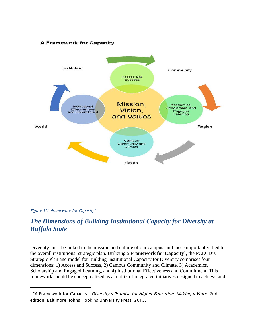#### **A Framework for Capacity**



<span id="page-3-1"></span>

1

# *The Dimensions of Building Institutional Capacity for Diversity at Buffalo State*

Diversity must be linked to the mission and culture of our campus, and more importantly, tied to the overall institutional strategic plan. Utilizing a **Framework for Capacity[1](#page-3-0)**, the PCECD's Strategic Plan and model for Building Institutional Capacity for Diversity comprises four dimensions: 1) Access and Success, 2) Campus Community and Climate, 3) Academics, Scholarship and Engaged Learning, and 4) Institutional Effectiveness and Commitment. This framework should be conceptualized as a matrix of integrated initiatives designed to achieve and

<span id="page-3-0"></span><sup>&</sup>lt;sup>1</sup> "A Framework for Capacity," *Diversity's Promise for Higher Education: Making it Work*. 2nd edition. Baltimore: Johns Hopkins University Press, 2015.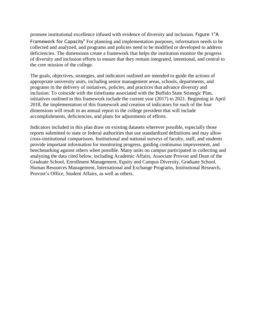promote institutional excellence infused with evidence of diversity and inclusion. [Figure 1"A](#page-3-1)  [Framework for Capacity"](#page-3-1) For planning and implementation purposes, information needs to be collected and analyzed, and programs and policies need to be modified or developed to address deficiencies. The dimensions create a framework that helps the institution monitor the progress of diversity and inclusion efforts to ensure that they remain integrated, intentional, and central to the core mission of the college.

The goals, objectives, strategies, and indicators outlined are intended to guide the actions of appropriate university units, including senior management areas, schools, departments, and programs in the delivery of initiatives, policies, and practices that advance diversity and inclusion. To coincide with the timeframe associated with the Buffalo State Strategic Plan, initiatives outlined in this framework include the current year (2017) to 2021. Beginning in April 2018, the implementation of this framework and creation of indicators for each of the four dimensions will result in an annual report to the college president that will include accomplishments, deficiencies, and plans for adjustments of efforts.

Indicators included in this plan draw on existing datasets wherever possible, especially those reports submitted to state or federal authorities that use standardized definitions and may allow cross-institutional comparisons. Institutional and national surveys of faculty, staff, and students provide important information for monitoring progress, guiding continuous improvement, and benchmarking against others when possible. Many units on campus participated in collecting and analyzing the data cited below, including Academic Affairs, Associate Provost and Dean of the Graduate School, Enrollment Management, Equity and Campus Diversity, Graduate School, Human Resources Management, International and Exchange Programs, Institutional Research, Provost's Office, Student Affairs, as well as others.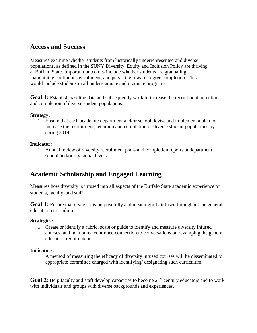### **Access and Success**

Measures examine whether students from historically underrepresented and diverse populations, as defined in the SUNY Diversity, Equity and Inclusion Policy are thriving at Buffalo State. Important outcomes include whether students are graduating, maintaining continuous enrollment, and persisting toward degree completion. This would include students in all undergraduate and graduate programs.

**Goal 1:** Establish baseline data and subsequently work to increase the recruitment, retention and completion of diverse student populations.

#### **Strategy:**

1. Ensure that each academic department and/or school devise and implement a plan to increase the recruitment, retention and completion of diverse student populations by spring 2019.

#### **Indicator:**

1. Annual review of diversity recruitment plans and completion reports at department, school and/or divisional levels.

# **Academic Scholarship and Engaged Learning**

Measures how diversity is infused into all aspects of the Buffalo State academic experience of students, faculty, and staff.

**Goal 1:** Ensure that diversity is purposefully and meaningfully infused throughout the general education curriculum.

#### **Strategies:**

1. Create or identify a rubric, scale or guide to identify and measure diversity infused courses, and maintain a continued connection to conversations on revamping the general education requirements.

#### **Indicators:**

1. A method of measuring the efficacy of diversity infused courses will be disseminated to appropriate committee charged with identifying/ designating such curriculum.

Goal 2: Help faculty and staff develop capacities to become 21<sup>st</sup> century educators and to work with individuals and groups with diverse backgrounds and experiences.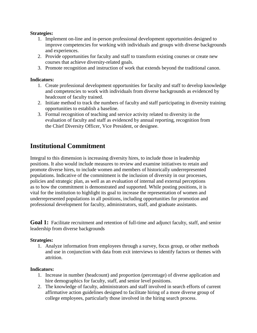#### **Strategies:**

- 1. Implement on-line and in-person professional development opportunities designed to improve competencies for working with individuals and groups with diverse backgrounds and experiences.
- 2. Provide opportunities for faculty and staff to transform existing courses or create new courses that achieve diversity-related goals.
- 3. Promote recognition and instruction of work that extends beyond the traditional canon.

#### **Indicators:**

- 1. Create professional development opportunities for faculty and staff to develop knowledge and competencies to work with individuals from diverse backgrounds as evidenced by headcount of faculty trained.
- 2. Initiate method to track the numbers of faculty and staff participating in diversity training opportunities to establish a baseline.
- 3. Formal recognition of teaching and service activity related to diversity in the evaluation of faculty and staff as evidenced by annual reporting, recognition from the Chief Diversity Officer, Vice President, or designee.

# **Institutional Commitment**

Integral to this dimension is increasing diversity hires, to include those in leadership positions. It also would include measures to review and examine initiatives to retain and promote diverse hires, to include women and members of historically underrepresented populations. Indicative of the commitment is the inclusion of diversity in our processes, policies and strategic plan, as well as an evaluation of internal and external perceptions as to how the commitment is demonstrated and supported. While posting positions, it is vital for the institution to highlight its goal to increase the representation of women and underrepresented populations in all positions, including opportunities for promotion and professional development for faculty, administrators, staff, and graduate assistants.

**Goal 1:** Facilitate recruitment and retention of full-time and adjunct faculty, staff, and senior leadership from diverse backgrounds

#### **Strategies:**

1. Analyze information from employees through a survey, focus group, or other methods and use in conjunction with data from exit interviews to identify factors or themes with attrition.

#### **Indicators:**

- 1. Increase in number (headcount) and proportion (percentage) of diverse application and hire demographics for faculty, staff, and senior level positions.
- 2. The knowledge of faculty, administrators and staff involved in search efforts of current affirmative action guidelines designed to facilitate hiring of a more diverse group of college employees, particularly those involved in the hiring search process.